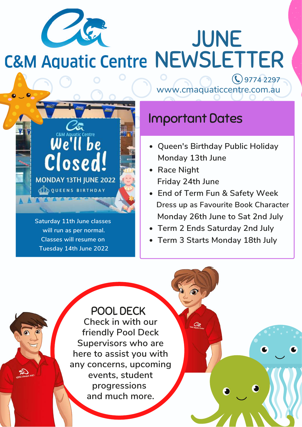

JUNE **C&M Aquatic Centre NEWSLETTER** 

We'll be Closed **MONDAY 13TH JUNE 2022 QDQUEENS BIRTHDAY Saturday 11th June classes will run as per normal.**

> **Classes will resume on Tuesday 14th June 2022**

**9774 2297** www.cmaquaticcentre.com.au

### Important Dates

- **Queen's Birthday Public Holiday Monday 13th June**
- **Race Night Friday 24th June**
- **End of Term Fun & Safety Week Dress up as Favourite Book Character Monday 26th June to Sat 2nd July**
- **Term 2 Ends Saturday 2nd July**
- **Term 3 Starts Monday 18th July**

**Check in with our friendly Pool Deck Supervisors who are here to assist you with any concerns, upcoming events, student progressions and much more.** POOL DECK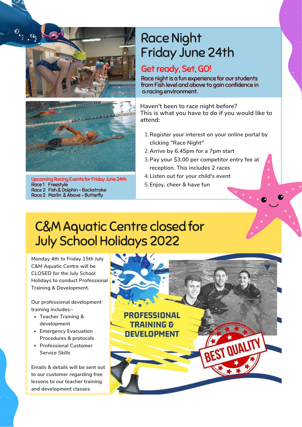



Upcoming Racing Events for Friday June 24th Race 1 Freestyle Race 2 Fish & Dolphin - Backstroke Race 2 Marlin & Above - Butterfly

### Race Night Friday June 24th

#### Get ready, Set, GO!

Race night is a fun experience for our students from Fish level and above to gain confidence in a racing environment.

**Haven't been to race night before? This is what you have to do if you would like to attend:**

- **Register your interest on your online portal by** 1. **clicking "Race Night"**
- **Arrive by 6.45pm for a 7pm start** 2.
- **Pay your \$3.00 per competitor entry fee at** 3. **reception. This includes 2 races**
- **Listen out for your child's event** 4.
- **Enjoy, cheer & have fun** 5.

### C&M Aquatic Centre closed for July School Holidays 2022

**Monday 4th to Friday 15th July C&M Aquatic Centre will be CLOSED for the July School Holidays to conduct Professional Training & Development.**

**Our professional development training includes:-**

- **Teacher Training & development**
- **Emergency Evacuation Procedures & protocols**
- **Professional Customer Service Skills**

**Emails & details will be sent out to our customer regarding free lessons to our teacher training and development classes.**

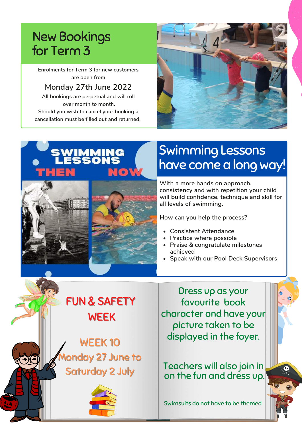## New Bookings for Term 3

**Enrolments for Term 3 for new customers are open from**

#### **Monday 27th June 2022**

**All bookings are perpetual and will roll over month to month. Should you wish to cancel your booking a cancellation must be filled out and returned.**





# Swimming Lessons have come a long way!

**With a more hands on approach, consistency and with repetition your child will build confidence, technique and skill for all levels of swimming.**

**How can you help the process?**

- **Consistent Attendance**
- **Practice where possible**
- **Praise & congratulate milestones achieved**
- **Speak with our Pool Deck Supervisors**

FUN & SAFETY WEEK

WEEK 10 onday 27 June to Saturday 2 July



Dress up as your favourite book character and have your picture taken to be displayed in the foyer.

Teachers will also join in on the fun and dress up.

Swimsuits do not have to be themed